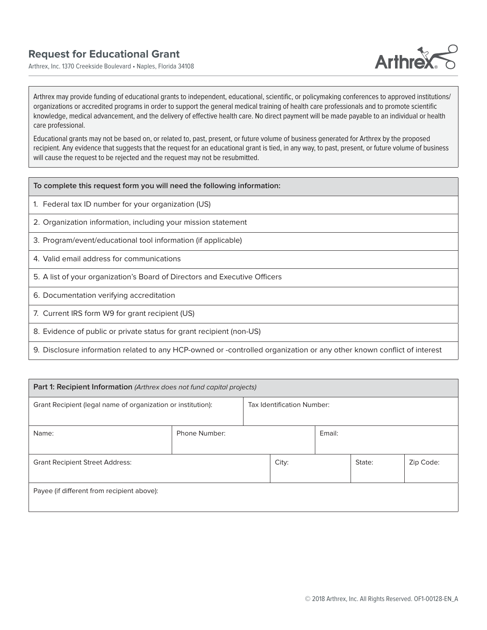Arthrex, Inc. 1370 Creekside Boulevard • Naples, Florida 34108



Arthrex may provide funding of educational grants to independent, educational, scientific, or policymaking conferences to approved institutions/ organizations or accredited programs in order to support the general medical training of health care professionals and to promote scientific knowledge, medical advancement, and the delivery of effective health care. No direct payment will be made payable to an individual or health care professional.

Educational grants may not be based on, or related to, past, present, or future volume of business generated for Arthrex by the proposed recipient. Any evidence that suggests that the request for an educational grant is tied, in any way, to past, present, or future volume of business will cause the request to be rejected and the request may not be resubmitted.

- 1. Federal tax ID number for your organization (US)
- 2. Organization information, including your mission statement
- 3. Program/event/educational tool information (if applicable)
- 4. Valid email address for communications
- 5. A list of your organization's Board of Directors and Executive Officers
- 6. Documentation verifying accreditation
- 7. Current IRS form W9 for grant recipient (US)
- 8. Evidence of public or private status for grant recipient (non-US)
- 9. Disclosure information related to any HCP-owned or -controlled organization or any other known conflict of interest

| Part 1: Recipient Information (Arthrex does not fund capital projects) |               |                            |        |  |        |           |  |
|------------------------------------------------------------------------|---------------|----------------------------|--------|--|--------|-----------|--|
| Grant Recipient (legal name of organization or institution):           |               | Tax Identification Number: |        |  |        |           |  |
| Name:                                                                  | Phone Number: |                            | Email: |  |        |           |  |
| <b>Grant Recipient Street Address:</b>                                 |               |                            | City:  |  | State: | Zip Code: |  |
| Payee (if different from recipient above):                             |               |                            |        |  |        |           |  |